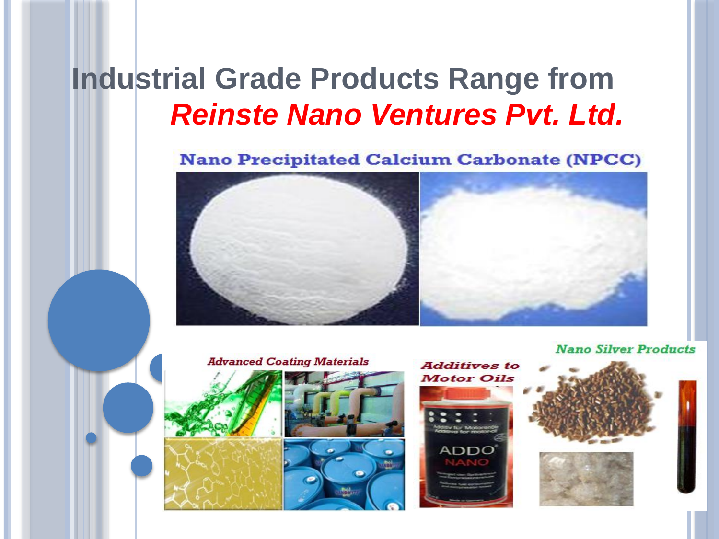### **Industrial Grade Products Range from**  *Reinste Nano Ventures Pvt. Ltd.*

**Nano Precipitated Calcium Carbonate (NPCC)** 



**Nano Silver Products** 

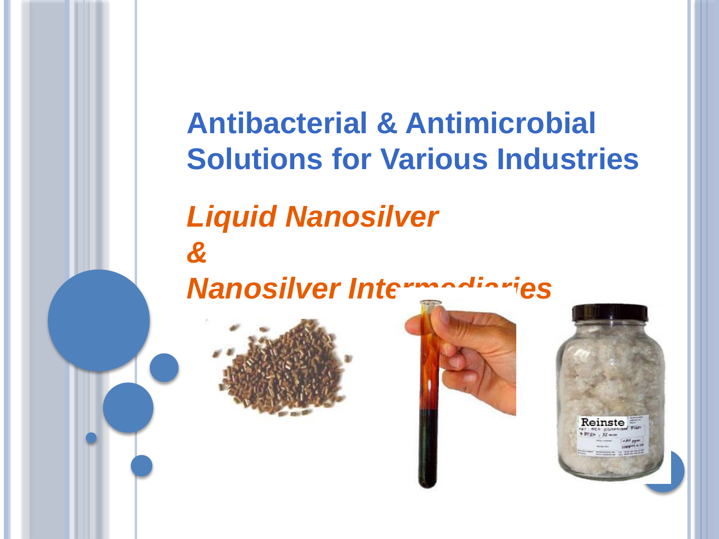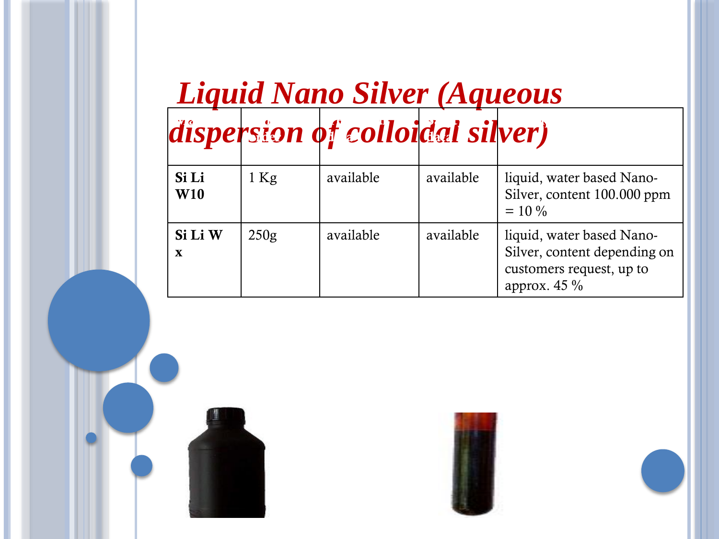# *Liquid Nano Silver (Aqueous*

#### **dispersion of colloidal silver) Technical data**  $\mathbf{y}$   $\mathbf{z}$ **data Description**

| Si Li<br>W10 | $1$ Kg | available | available | liquid, water based Nano-<br>Silver, content 100.000 ppm<br>$= 10\%$                                    |
|--------------|--------|-----------|-----------|---------------------------------------------------------------------------------------------------------|
| Si Li W<br>X | 250g   | available | available | liquid, water based Nano-<br>Silver, content depending on<br>customers request, up to<br>approx. $45\%$ |



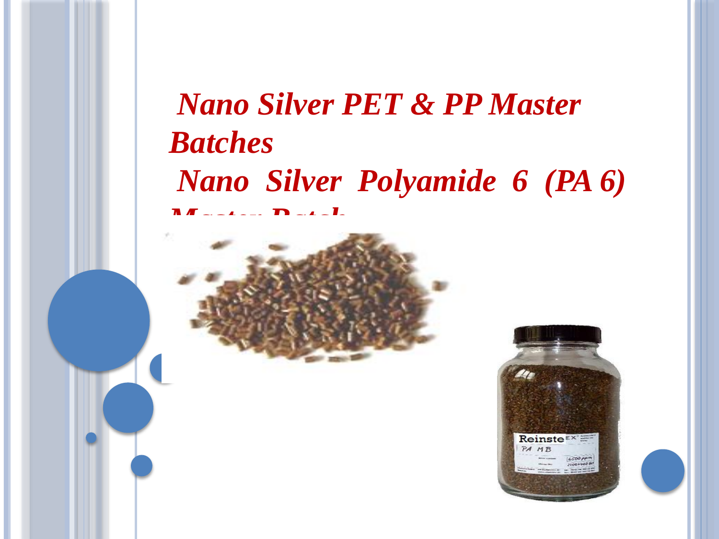### *Nano Silver PET & PP Master Batches Nano Silver Polyamide 6 (PA 6) Master Batch*



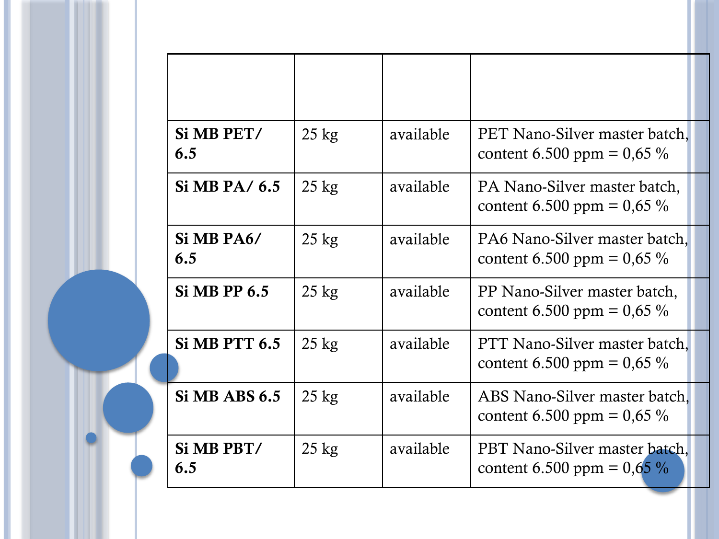| Si MB PET/<br>6.5    | $25 \text{ kg}$ | available | PET Nano-Silver master batch,<br>content 6.500 ppm = $0,65\%$ |
|----------------------|-----------------|-----------|---------------------------------------------------------------|
| Si MB PA/6.5         | $25 \text{ kg}$ | available | PA Nano-Silver master batch,<br>content 6.500 ppm = $0,65\%$  |
| Si MB PA6/<br>6.5    | $25 \text{ kg}$ | available | PA6 Nano-Silver master batch,<br>content 6.500 ppm = $0,65\%$ |
| <b>Si MB PP 6.5</b>  | $25 \text{ kg}$ | available | PP Nano-Silver master batch,<br>content 6.500 ppm = $0,65\%$  |
| <b>Si MB PTT 6.5</b> | $25 \text{ kg}$ | available | PTT Nano-Silver master batch,<br>content 6.500 ppm = $0,65\%$ |
| <b>Si MB ABS 6.5</b> | $25 \text{ kg}$ | available | ABS Nano-Silver master batch,<br>content 6.500 ppm = $0,65\%$ |
| Si MB PBT/<br>6.5    | $25 \text{ kg}$ | available | PBT Nano-Silver master batch,<br>content 6.500 ppm = $0,65\%$ |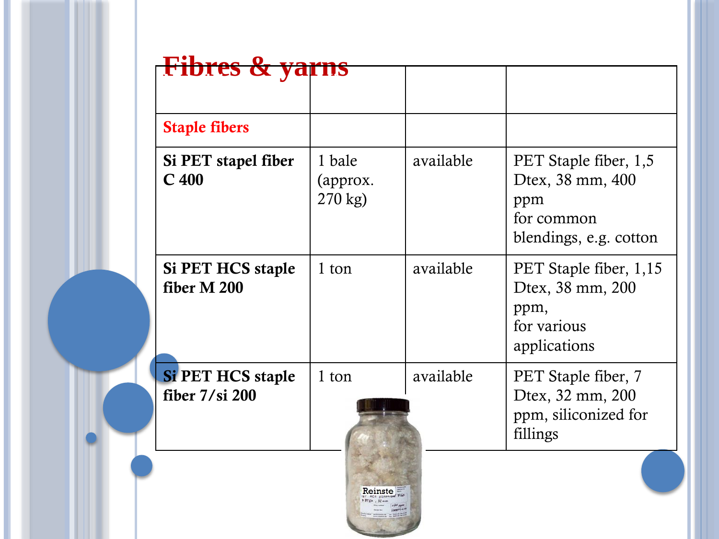| <b>Fibres &amp; yarns</b>                    |                                 |           |                                                                                          |
|----------------------------------------------|---------------------------------|-----------|------------------------------------------------------------------------------------------|
| <b>Staple fibers</b>                         |                                 |           |                                                                                          |
| Si PET stapel fiber<br>C <sub>400</sub>      | 1 bale<br>(approx.<br>$270$ kg) | available | PET Staple fiber, 1,5<br>Dtex, 38 mm, 400<br>ppm<br>for common<br>blendings, e.g. cotton |
| <b>Si PET HCS staple</b><br>fiber M 200      | 1 ton                           | available | PET Staple fiber, 1,15<br>Dtex, 38 mm, 200<br>ppm,<br>for various<br>applications        |
| <b>Si PET HCS staple</b><br>fiber $7/si$ 200 | 1 ton                           | available | PET Staple fiber, 7<br>Dtex, 32 mm, 200<br>ppm, siliconized for<br>fillings              |
|                                              | Reinste                         |           |                                                                                          |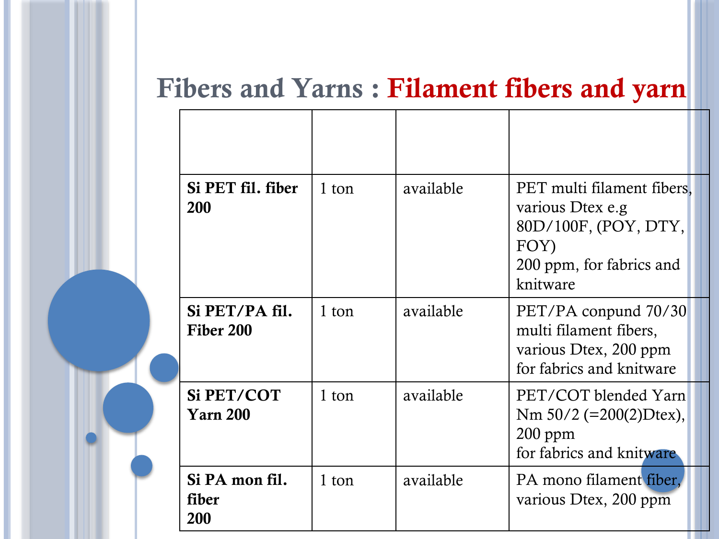### **Fibers and Yarns : Filament fibers and yarn**

| Si PET fil. fiber<br>200       | 1 ton | available | PET multi filament fibers.<br>various Dtex e.g<br>80D/100F, (POY, DTY,<br>FOY)<br>200 ppm, for fabrics and<br>knitware |
|--------------------------------|-------|-----------|------------------------------------------------------------------------------------------------------------------------|
| Si PET/PA fil.<br>Fiber 200    | 1 ton | available | PET/PA conpund 70/30<br>multi filament fibers,<br>various Dtex, 200 ppm<br>for fabrics and knitware                    |
| Si PET/COT<br><b>Yarn 200</b>  | 1 ton | available | PET/COT blended Yarn<br>Nm $50/2$ (=200(2)Dtex),<br>$200$ ppm<br>for fabrics and knitware                              |
| Si PA mon fil.<br>fiber<br>200 | 1 ton | available | PA mono filament fiber,<br>various Dtex, 200 ppm                                                                       |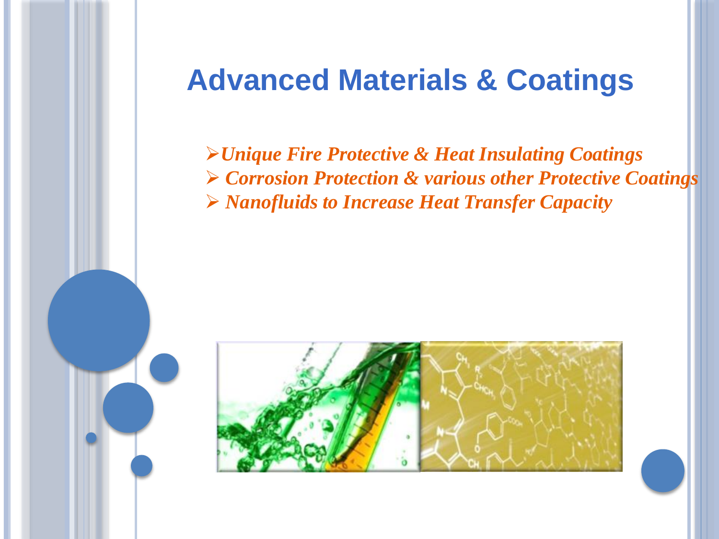### **Advanced Materials & Coatings**

*Unique Fire Protective & Heat Insulating Coatings Corrosion Protection & various other Protective Coatings Nanofluids to Increase Heat Transfer Capacity*

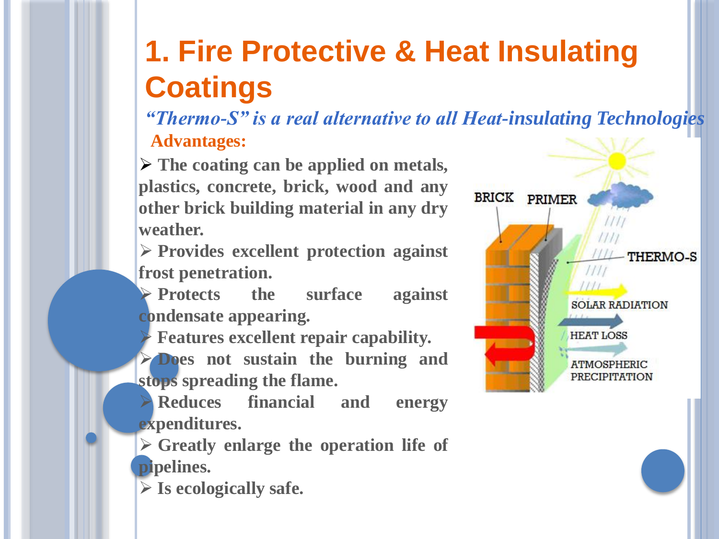### **1. Fire Protective & Heat Insulating Coatings**

*"Thermo-S" is a real alternative to all Heat-insulating Technologies* **Advantages:**

 **The coating can be applied on metals, plastics, concrete, brick, wood and any other brick building material in any dry weather.**

 **Provides excellent protection against frost penetration.**

 **Protects the surface against condensate appearing.**

**Features excellent repair capability.**

 **Does not sustain the burning and stops spreading the flame.**

 **Reduces financial and energy expenditures.**

 **Greatly enlarge the operation life of pipelines.**

**Is ecologically safe.**

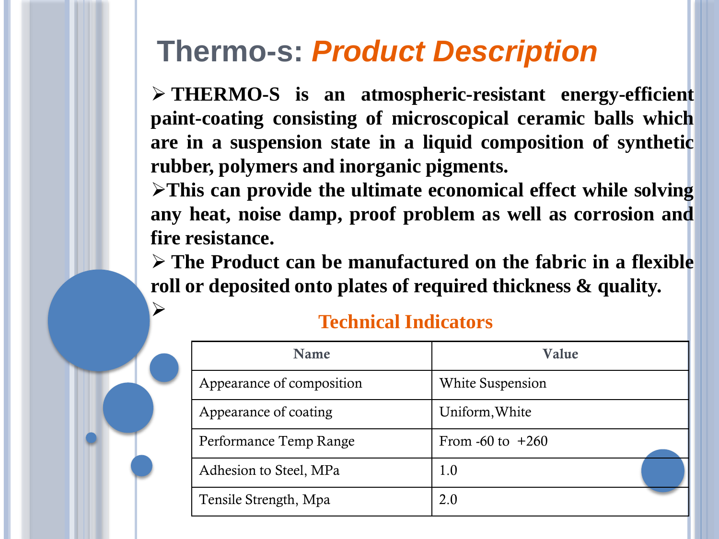### **Thermo-s:** *Product Description*

 **THERMO-S is an atmospheric-resistant energy-efficient paint-coating consisting of microscopical ceramic balls which are in a suspension state in a liquid composition of synthetic rubber, polymers and inorganic pigments.**

**This can provide the ultimate economical effect while solving any heat, noise damp, proof problem as well as corrosion and fire resistance.**

 **The Product can be manufactured on the fabric in a flexible roll or deposited onto plates of required thickness & quality.**

| <b>Name</b>               | Value                   |
|---------------------------|-------------------------|
| Appearance of composition | <b>White Suspension</b> |
| Appearance of coating     | Uniform, White          |
| Performance Temp Range    | From -60 to $+260$      |
| Adhesion to Steel, MPa    | 1.0                     |
| Tensile Strength, Mpa     | 2.0                     |

#### **Technical Indicators**

 $\blacktriangleright$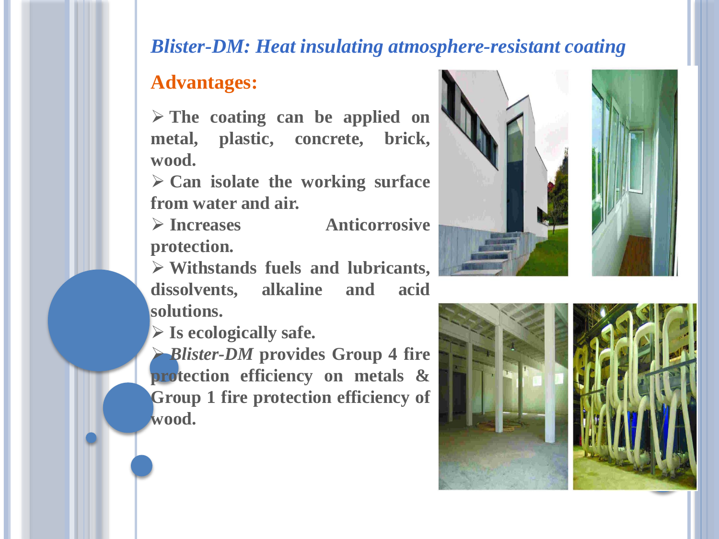#### *Blister-DM: Heat insulating atmosphere-resistant coating*

#### **Advantages:**

 **The coating can be applied on metal, plastic, concrete, brick, wood.**

 **Can isolate the working surface from water and air.**

 **Increases Anticorrosive protection.**

 **Withstands fuels and lubricants, dissolvents, alkaline and acid solutions.**

**Is ecologically safe.**

 *Blister-DM* **provides Group 4 fire protection efficiency on metals & Group 1 fire protection efficiency of wood.**





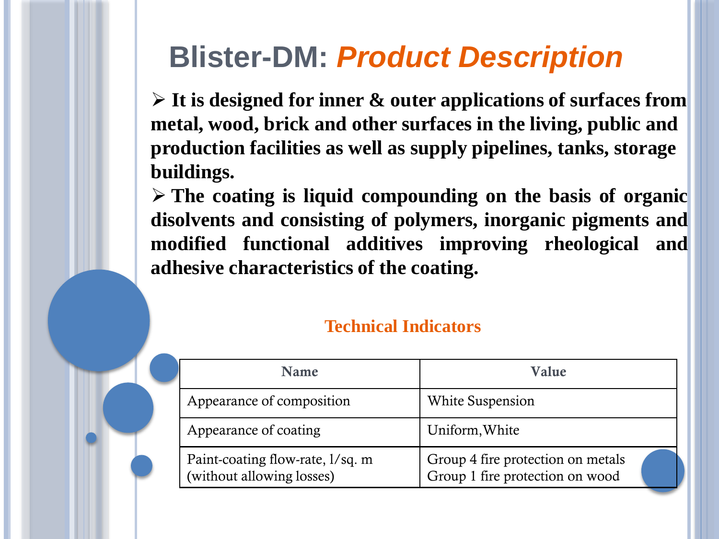### **Blister-DM:** *Product Description*

 **It is designed for inner & outer applications of surfaces from metal, wood, brick and other surfaces in the living, public and production facilities as well as supply pipelines, tanks, storage buildings.**

 **The coating is liquid compounding on the basis of organic disolvents and consisting of polymers, inorganic pigments and modified functional additives improving rheological and adhesive characteristics of the coating.**

#### **Technical Indicators**

| <b>Name</b>                                                   | Value                                                                |
|---------------------------------------------------------------|----------------------------------------------------------------------|
| Appearance of composition                                     | White Suspension                                                     |
| Appearance of coating                                         | Uniform, White                                                       |
| Paint-coating flow-rate, 1/sq. m<br>(without allowing losses) | Group 4 fire protection on metals<br>Group 1 fire protection on wood |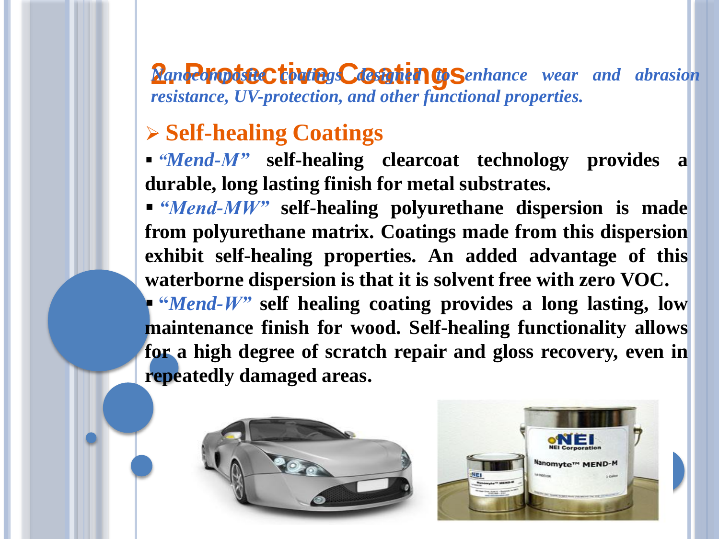**2. Panocomposition Coatings Coatings** *Conhance wear* and abrasion *resistance, UV-protection, and other functional properties.*

#### **Self-healing Coatings**

 *"Mend-M"* **self-healing clearcoat technology provides a durable, long lasting finish for metal substrates.**

 *"Mend-MW"* **self-healing polyurethane dispersion is made from polyurethane matrix. Coatings made from this dispersion exhibit self-healing properties. An added advantage of this waterborne dispersion is that it is solvent free with zero VOC. "***Mend-W"* **self healing coating provides a long lasting, low maintenance finish for wood. Self-healing functionality allows for a high degree of scratch repair and gloss recovery, even in**

**repeatedly damaged areas.**



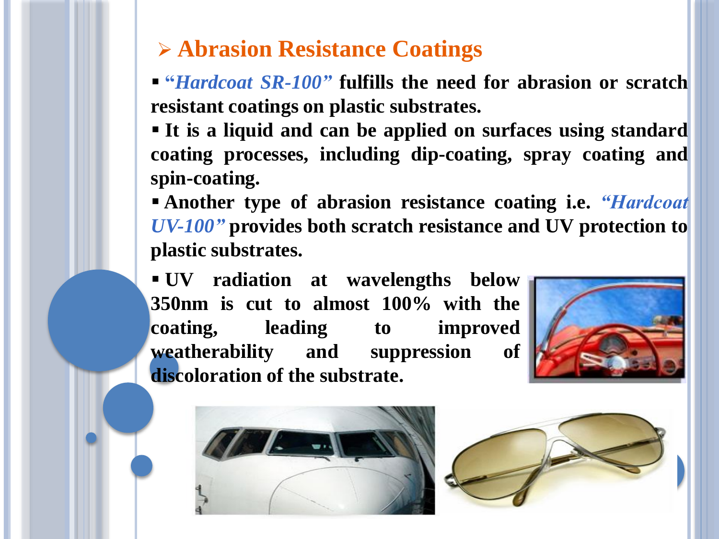#### **Abrasion Resistance Coatings**

 **"***Hardcoat SR-100"* **fulfills the need for abrasion or scratch resistant coatings on plastic substrates.**

 **It is a liquid and can be applied on surfaces using standard coating processes, including dip-coating, spray coating and spin-coating.**

 **Another type of abrasion resistance coating i.e.** *"Hardcoat UV-100"* **provides both scratch resistance and UV protection to plastic substrates.**

 **UV radiation at wavelengths below 350nm is cut to almost 100% with the coating, leading to improved weatherability and suppression of discoloration of the substrate.**





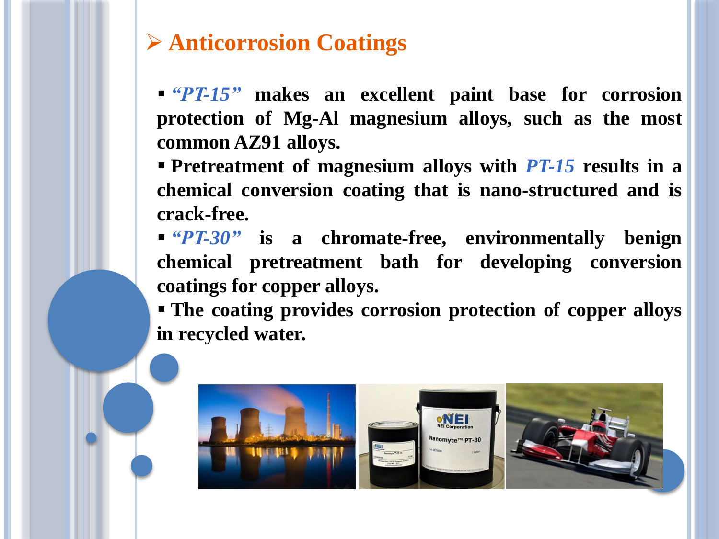#### **Anticorrosion Coatings**

 *"PT-15"* **makes an excellent paint base for corrosion protection of Mg-Al magnesium alloys, such as the most common AZ91 alloys.**

 **Pretreatment of magnesium alloys with** *PT-15* **results in a chemical conversion coating that is nano-structured and is crack-free.**

 *"PT-30"* **is a chromate-free, environmentally benign chemical pretreatment bath for developing conversion coatings for copper alloys.**

 **The coating provides corrosion protection of copper alloys in recycled water.**

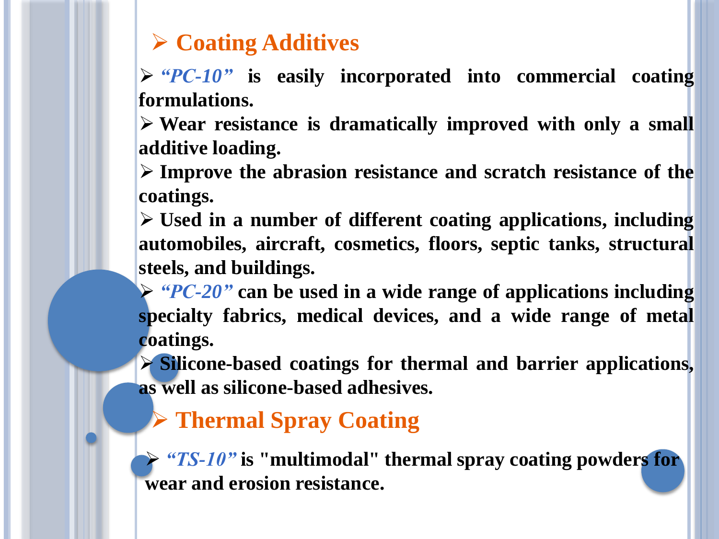#### **Coating Additives**

 *"PC-10"* **is easily incorporated into commercial coating formulations.**

 **Wear resistance is dramatically improved with only a small additive loading.**

 **Improve the abrasion resistance and scratch resistance of the coatings.**

 **Used in a number of different coating applications, including automobiles, aircraft, cosmetics, floors, septic tanks, structural steels, and buildings.**

 *"PC-20"* **can be used in a wide range of applications including specialty fabrics, medical devices, and a wide range of metal coatings.**

 **Silicone-based coatings for thermal and barrier applications, as well as silicone-based adhesives.**

**Thermal Spray Coating**

 *"TS-10"* **is "multimodal" thermal spray coating powders for wear and erosion resistance.**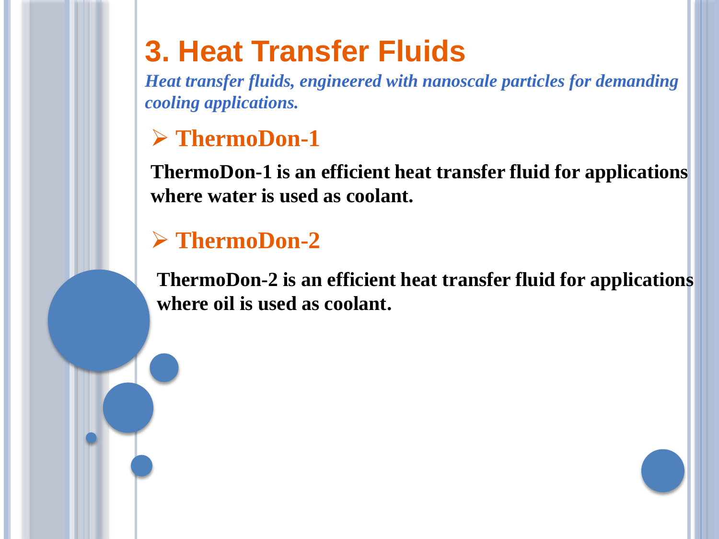### **3. Heat Transfer Fluids**

*Heat transfer fluids, engineered with nanoscale particles for demanding cooling applications.*

#### **ThermoDon-1**

**ThermoDon-1 is an efficient heat transfer fluid for applications where water is used as coolant.**

#### **ThermoDon-2**

**ThermoDon-2 is an efficient heat transfer fluid for applications where oil is used as coolant.**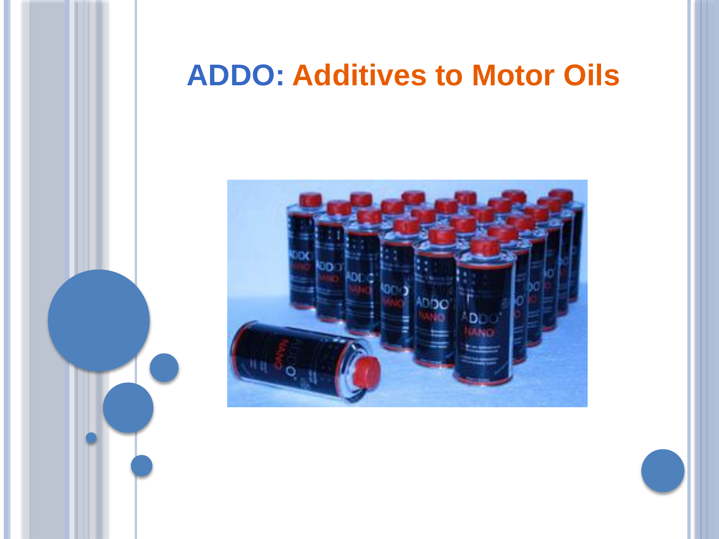### **ADDO: Additives to Motor Oils**

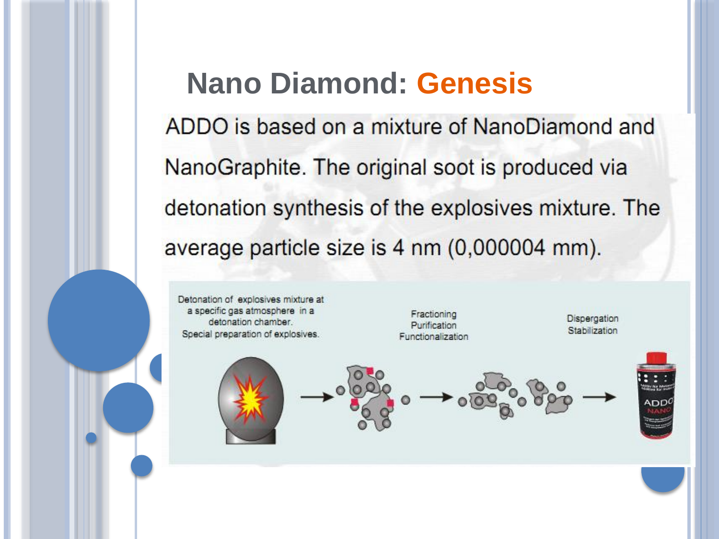### **Nano Diamond: Genesis**

ADDO is based on a mixture of NanoDiamond and NanoGraphite. The original soot is produced via detonation synthesis of the explosives mixture. The average particle size is 4 nm (0,000004 mm).

Detonation of explosives mixture at a specific gas atmosphere in a detonation chamber. Special preparation of explosives.

Fractioning Purification Functionalization

Dispergation Stabilization

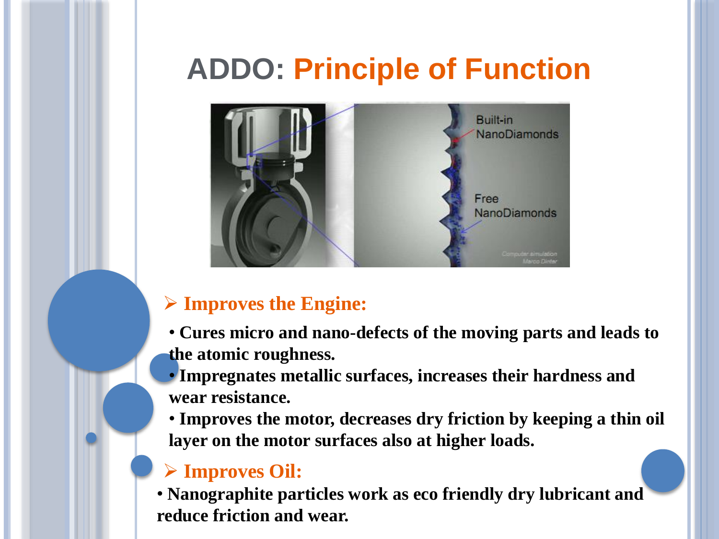## **ADDO: Principle of Function**



#### **Improves the Engine:**

- **Cures micro and nano-defects of the moving parts and leads to the atomic roughness.**
- **Impregnates metallic surfaces, increases their hardness and wear resistance.**
- **Improves the motor, decreases dry friction by keeping a thin oil layer on the motor surfaces also at higher loads.**

#### **Improves Oil:**

• **Nanographite particles work as eco friendly dry lubricant and reduce friction and wear.**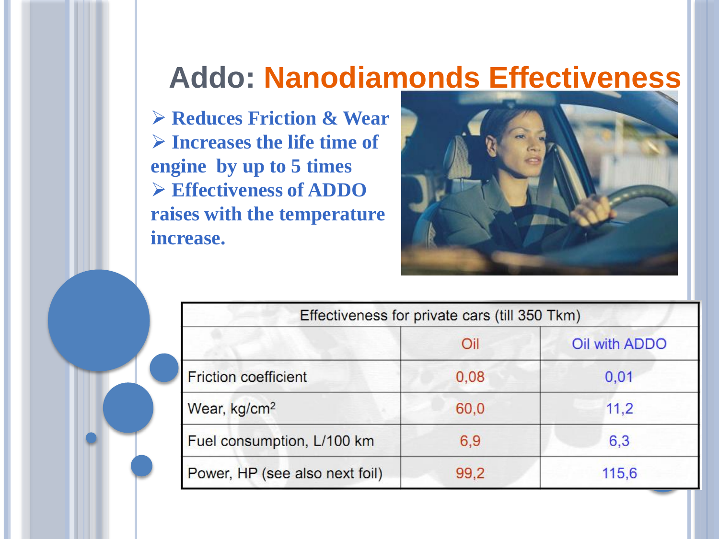### **Addo: Nanodiamonds Effectiveness**

 **Reduces Friction & Wear Increases the life time of engine by up to 5 times Effectiveness of ADDO raises with the temperature increase.**



| Effectiveness for private cars (till 350 Tkm) |      |               |
|-----------------------------------------------|------|---------------|
|                                               | Oil  | Oil with ADDO |
| <b>Friction coefficient</b>                   | 0,08 | 0,01          |
| Wear, kg/cm <sup>2</sup>                      | 60,0 | 11,2          |
| Fuel consumption, L/100 km                    | 6,9  | 6,3           |
| Power, HP (see also next foil)                | 99,2 | 115,6         |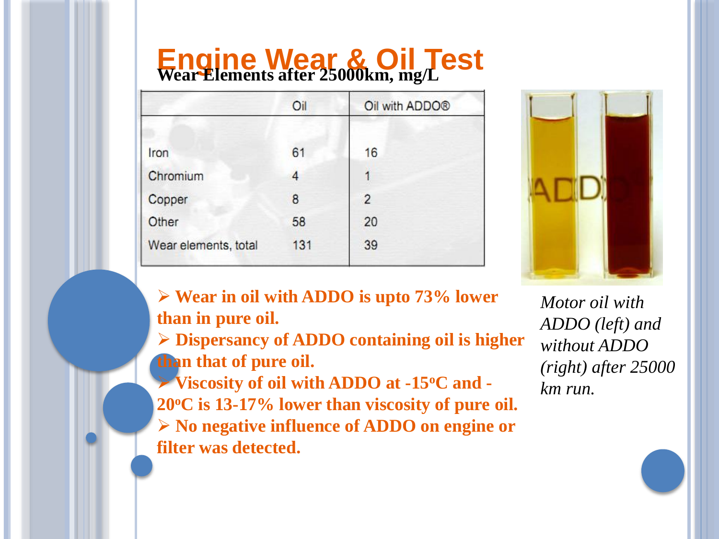# **Engine Wear & Oil Test Wear Elements after 25000km, mg/L**

| Oil | Oil with ADDO® |
|-----|----------------|
| 61  | 16             |
| 4   |                |
| 8   | $\overline{2}$ |
| 58  | 20             |
| 131 | 39             |
|     |                |



 **Wear in oil with ADDO is upto 73% lower than in pure oil.**

 **Dispersancy of ADDO containing oil is higher than that of pure oil.**

 **Viscosity of oil with ADDO at -15<sup>o</sup>C and - 20<sup>o</sup>C is 13-17% lower than viscosity of pure oil. No negative influence of ADDO on engine or filter was detected.**

*Motor oil with ADDO (left) and without ADDO (right) after 25000 km run.*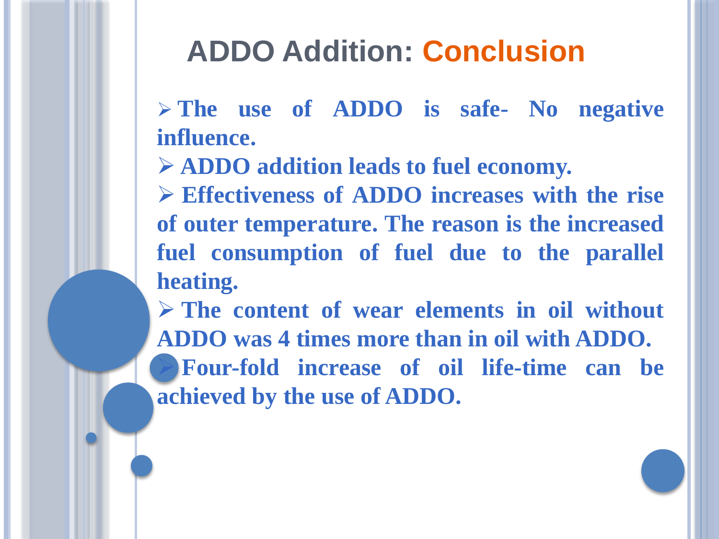### **ADDO Addition: Conclusion**

 **The use of ADDO is safe- No negative influence.**

**ADDO addition leads to fuel economy.**

 **Effectiveness of ADDO increases with the rise of outer temperature. The reason is the increased fuel consumption of fuel due to the parallel heating.**

 **The content of wear elements in oil without ADDO was 4 times more than in oil with ADDO. Four-fold increase of oil life-time can be achieved by the use of ADDO.**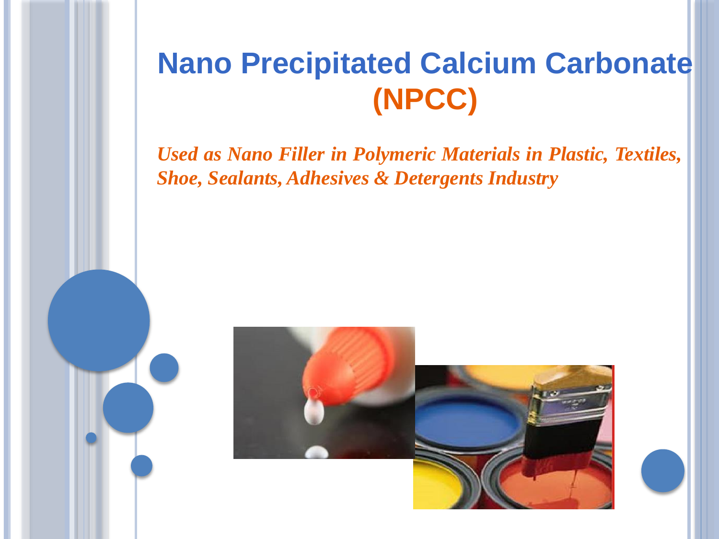### **Nano Precipitated Calcium Carbonate (NPCC)**

*Used as Nano Filler in Polymeric Materials in Plastic, Textiles, Shoe, Sealants, Adhesives & Detergents Industry*

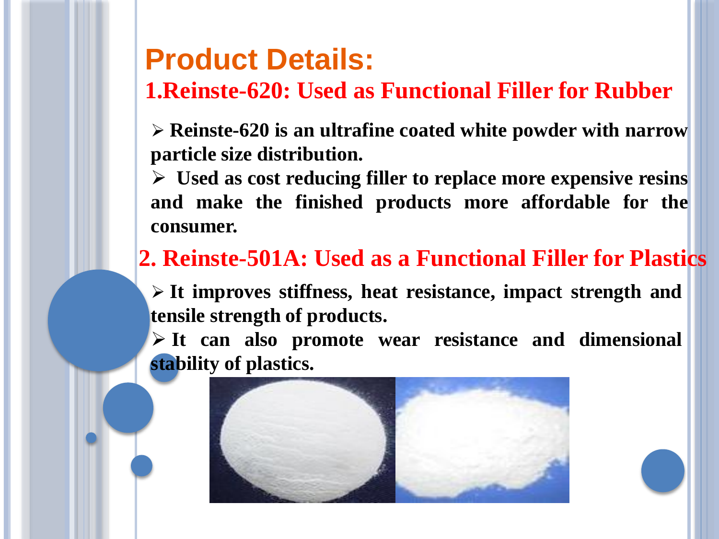### **Product Details:**

#### **1.Reinste-620: Used as Functional Filler for Rubber**

 **Reinste-620 is an ultrafine coated white powder with narrow particle size distribution.**

 **Used as cost reducing filler to replace more expensive resins and make the finished products more affordable for the consumer.**

### **2. Reinste-501A: Used as a Functional Filler for Plastics**

 **It improves stiffness, heat resistance, impact strength and tensile strength of products.**

 **It can also promote wear resistance and dimensional stability of plastics.**

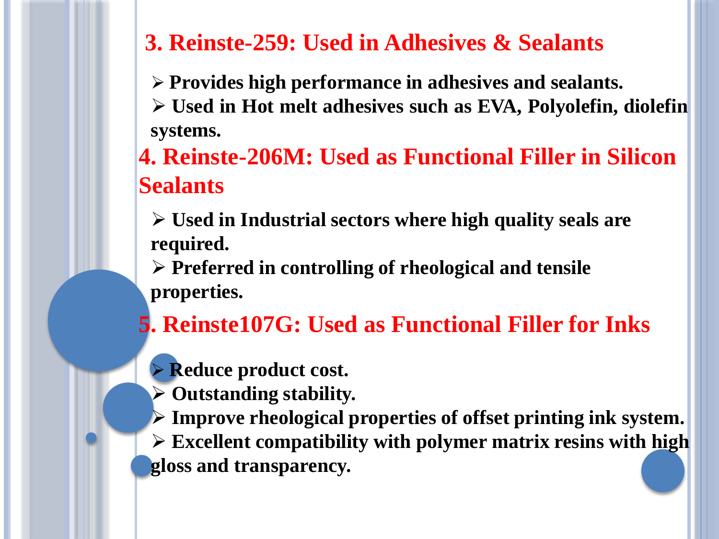#### **3. Reinste-259: Used in Adhesives & Sealants**

**Provides high performance in adhesives and sealants.**

 **Used in Hot melt adhesives such as EVA, Polyolefin, diolefin systems.**

**4. Reinste-206M: Used as Functional Filler in Silicon Sealants**

 **Used in Industrial sectors where high quality seals are required.**

 **Preferred in controlling of rheological and tensile properties.**

**5. Reinste107G: Used as Functional Filler for Inks**

- **Reduce product cost.**
- **Outstanding stability.**
- **Improve rheological properties of offset printing ink system.**

 **Excellent compatibility with polymer matrix resins with high gloss and transparency.**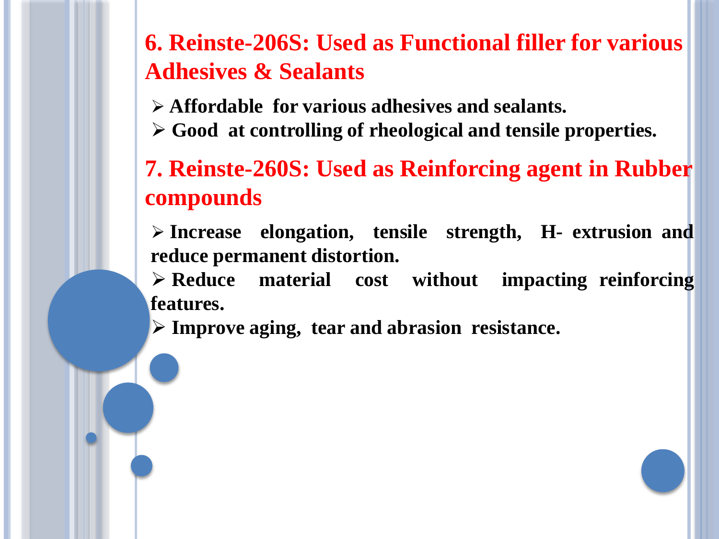**6. Reinste-206S: Used as Functional filler for various Adhesives & Sealants**

- **Affordable for various adhesives and sealants.**
- **Good at controlling of rheological and tensile properties.**

**7. Reinste-260S: Used as Reinforcing agent in Rubber compounds**

 **Increase elongation, tensile strength, H- extrusion and reduce permanent distortion.**

 **Reduce material cost without impacting reinforcing features.**

**Improve aging, tear and abrasion resistance.**